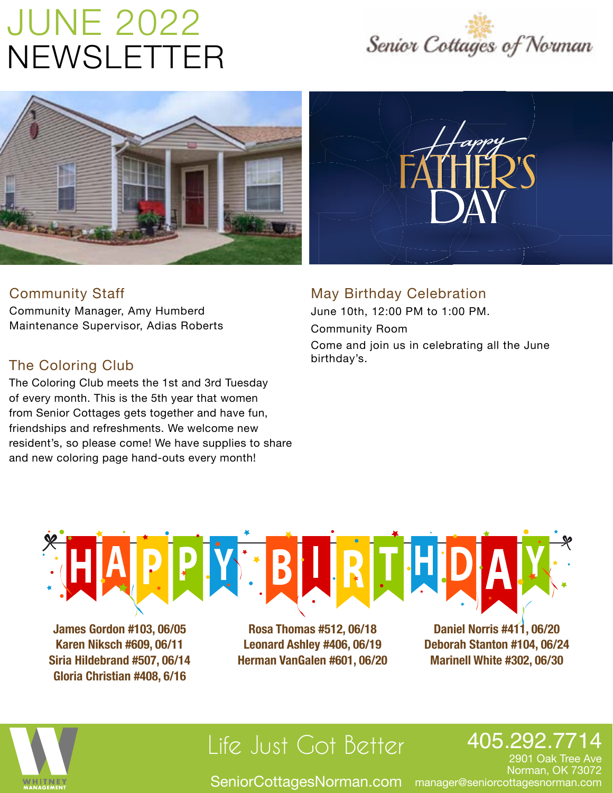# JUNE 2022 NEWSLETTER





### Community Staff

Community Manager, Amy Humberd Maintenance Supervisor, Adias Roberts

### The Coloring Club

The Coloring Club meets the 1st and 3rd Tuesday of every month. This is the 5th year that women from Senior Cottages gets together and have fun, friendships and refreshments. We welcome new resident's, so please come! We have supplies to share and new coloring page hand-outs every month!

### May Birthday Celebration

Come and join us in celebrating all the June birthday's. June 10th, 12:00 PM to 1:00 PM. Community Room



**James Gordon #103, 06/05 Karen Niksch #609, 06/11 Siria Hildebrand #507, 06/14 Gloria Christian #408, 6/16**

**Rosa Thomas #512, 06/18 Leonard Ashley #406, 06/19 Herman VanGalen #601, 06/20**

**Daniel Norris #411, 06/20 Deborah Stanton #104, 06/24 Marinell White #302, 06/30**



## Life Just Got Better

### 405.292.7714

 $\operatorname{\sf SeniorCottagesNorman.com}$  manager@seniorcottagesnorman.com

2901 Oak Tree Ave Norman, OK 73072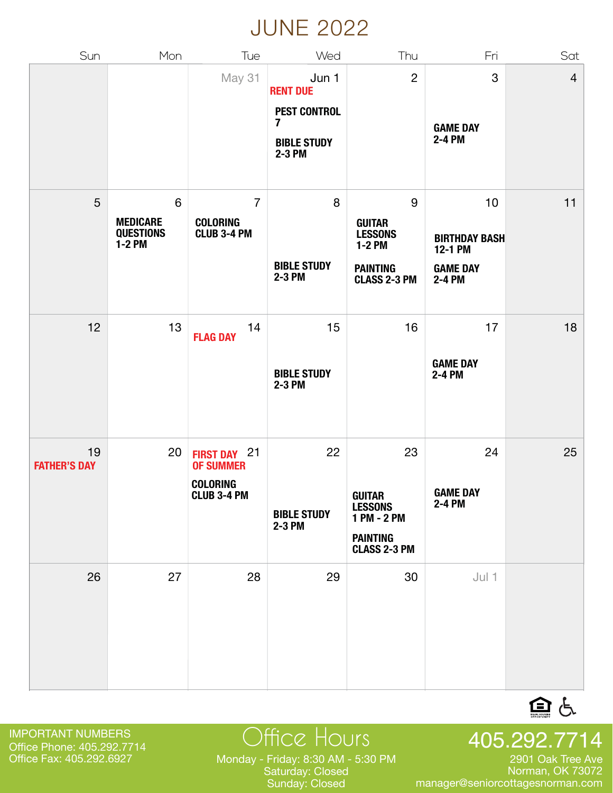### JUNE 2022

| Sun                       | Mon                                                    | Tue                                                                                 | Wed                                                                                               | Thu                                                                                                     | Fri                                                                | Sat            |
|---------------------------|--------------------------------------------------------|-------------------------------------------------------------------------------------|---------------------------------------------------------------------------------------------------|---------------------------------------------------------------------------------------------------------|--------------------------------------------------------------------|----------------|
|                           |                                                        | May 31                                                                              | Jun 1<br><b>RENT DUE</b><br><b>PEST CONTROL</b><br>$\overline{7}$<br><b>BIBLE STUDY</b><br>2-3 PM | $\overline{c}$                                                                                          | 3<br><b>GAME DAY</b><br>2-4 PM                                     | $\overline{4}$ |
| 5                         | $\,6$<br><b>MEDICARE</b><br><b>QUESTIONS</b><br>1-2 PM | $\overline{7}$<br><b>COLORING</b><br><b>CLUB 3-4 PM</b>                             | 8<br><b>BIBLE STUDY</b><br>2-3 PM                                                                 | $\boldsymbol{9}$<br><b>GUITAR</b><br><b>LESSONS</b><br>1-2 PM<br><b>PAINTING</b><br><b>CLASS 2-3 PM</b> | 10<br><b>BIRTHDAY BASH</b><br>12-1 PM<br><b>GAME DAY</b><br>2-4 PM | 11             |
| 12                        | 13                                                     | 14<br><b>FLAG DAY</b>                                                               | 15<br><b>BIBLE STUDY</b><br>2-3 PM                                                                | 16                                                                                                      | 17<br><b>GAME DAY</b><br>2-4 PM                                    | 18             |
| 19<br><b>FATHER'S DAY</b> | 20                                                     | 21<br><b>FIRST DAY</b><br><b>OF SUMMER</b><br><b>COLORING</b><br><b>CLUB 3-4 PM</b> | 22<br><b>BIBLE STUDY</b><br>2-3 PM                                                                | 23<br><b>GUITAR</b><br><b>LESSONS</b><br>1 PM - 2 PM<br><b>PAINTING</b><br><b>CLASS 2-3 PM</b>          | 24<br><b>GAME DAY</b><br>2-4 PM                                    | 25             |
| 26                        | 27                                                     | 28                                                                                  | 29                                                                                                | 30                                                                                                      | $Jul$ 1                                                            |                |

IMPORTANT NUMBERS Office Phone: 405.292.7714<br>Office Fax: 405.292.6927

Office Fax: 405.292.6927 Monday - Friday: 8:30 AM - 5:30 PM Saturday: Closed Sunday: Closed

Office Hours 405.292.7714 2901 Oak Tree Ave

Norman, OK 73072 manager@seniorcottagesnorman.com